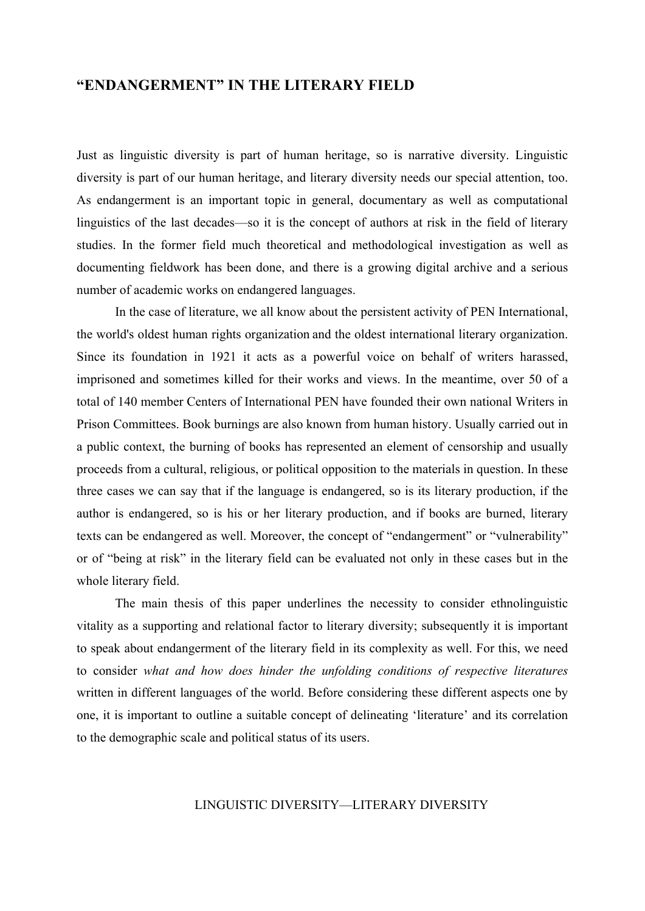# **"ENDANGERMENT" IN THE LITERARY FIELD**

Just as linguistic diversity is part of human heritage, so is narrative diversity. Linguistic diversity is part of our human heritage, and literary diversity needs our special attention, too. As endangerment is an important topic in general, documentary as well as computational linguistics of the last decades—so it is the concept of authors at risk in the field of literary studies. In the former field much theoretical and methodological investigation as well as documenting fieldwork has been done, and there is a growing digital archive and a serious number of academic works on endangered languages.

In the case of literature, we all know about the persistent activity of PEN International, the world's oldest human rights organization and the oldest international literary organization. Since its foundation in 1921 it acts as a powerful voice on behalf of writers harassed, imprisoned and sometimes killed for their works and views. In the meantime, over 50 of a total of 140 member Centers of International PEN have founded their own national Writers in Prison Committees. Book burnings are also known from human history. Usually carried out in a public context, the burning of books has represented an element of censorship and usually proceeds from a cultural, religious, or political opposition to the materials in question. In these three cases we can say that if the language is endangered, so is its literary production, if the author is endangered, so is his or her literary production, and if books are burned, literary texts can be endangered as well. Moreover, the concept of "endangerment" or "vulnerability" or of "being at risk" in the literary field can be evaluated not only in these cases but in the whole literary field.

The main thesis of this paper underlines the necessity to consider ethnolinguistic vitality as a supporting and relational factor to literary diversity; subsequently it is important to speak about endangerment of the literary field in its complexity as well. For this, we need to consider *what and how does hinder the unfolding conditions of respective literatures*  written in different languages of the world. Before considering these different aspects one by one, it is important to outline a suitable concept of delineating 'literature' and its correlation to the demographic scale and political status of its users.

## LINGUISTIC DIVERSITY—LITERARY DIVERSITY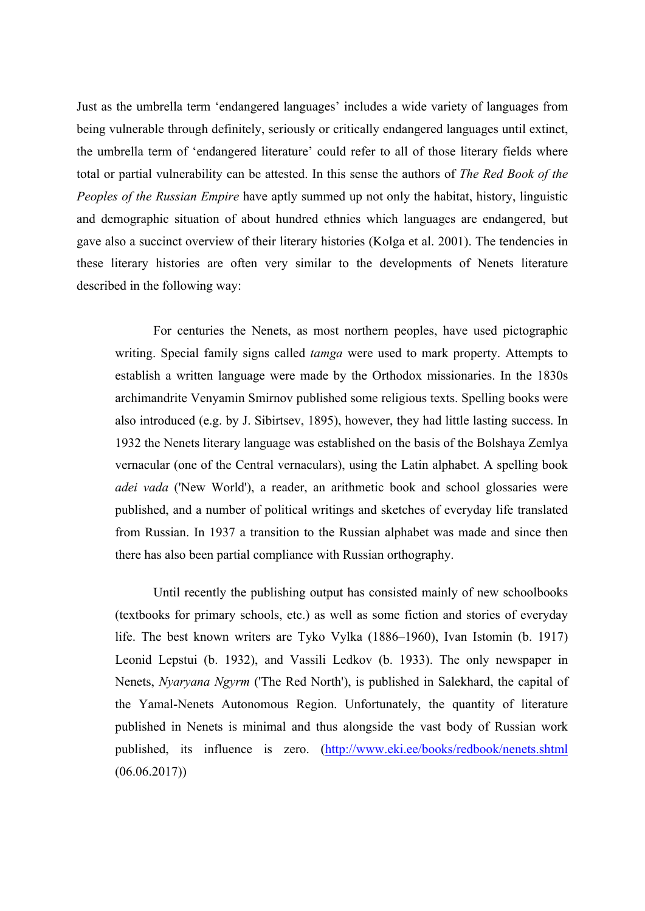Just as the umbrella term 'endangered languages' includes a wide variety of languages from being vulnerable through definitely, seriously or critically endangered languages until extinct, the umbrella term of 'endangered literature' could refer to all of those literary fields where total or partial vulnerability can be attested. In this sense the authors of *The Red Book of the Peoples of the Russian Empire* have aptly summed up not only the habitat, history, linguistic and demographic situation of about hundred ethnies which languages are endangered, but gave also a succinct overview of their literary histories (Kolga et al. 2001). The tendencies in these literary histories are often very similar to the developments of Nenets literature described in the following way:

For centuries the Nenets, as most northern peoples, have used pictographic writing. Special family signs called *tamga* were used to mark property. Attempts to establish a written language were made by the Orthodox missionaries. In the 1830s archimandrite Venyamin Smirnov published some religious texts. Spelling books were also introduced (e.g. by J. Sibirtsev, 1895), however, they had little lasting success. In 1932 the Nenets literary language was established on the basis of the Bolshaya Zemlya vernacular (one of the Central vernaculars), using the Latin alphabet. A spelling book *adei vada* ('New World'), a reader, an arithmetic book and school glossaries were published, and a number of political writings and sketches of everyday life translated from Russian. In 1937 a transition to the Russian alphabet was made and since then there has also been partial compliance with Russian orthography.

Until recently the publishing output has consisted mainly of new schoolbooks (textbooks for primary schools, etc.) as well as some fiction and stories of everyday life. The best known writers are Tyko Vylka (1886–1960), Ivan Istomin (b. 1917) Leonid Lepstui (b. 1932), and Vassili Ledkov (b. 1933). The only newspaper in Nenets, *Nyaryana Ngyrm* ('The Red North'), is published in Salekhard, the capital of the Yamal-Nenets Autonomous Region. Unfortunately, the quantity of literature published in Nenets is minimal and thus alongside the vast body of Russian work published, its influence is zero. (http://www.eki.ee/books/redbook/nenets.shtml  $(06.06.2017))$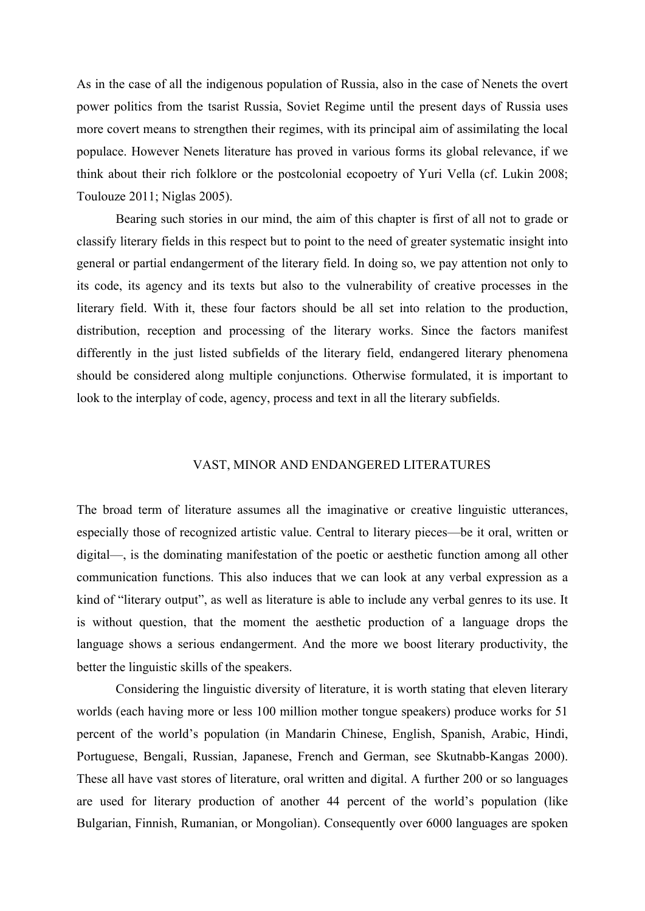As in the case of all the indigenous population of Russia, also in the case of Nenets the overt power politics from the tsarist Russia, Soviet Regime until the present days of Russia uses more covert means to strengthen their regimes, with its principal aim of assimilating the local populace. However Nenets literature has proved in various forms its global relevance, if we think about their rich folklore or the postcolonial ecopoetry of Yuri Vella (cf. Lukin 2008; Toulouze 2011; Niglas 2005).

Bearing such stories in our mind, the aim of this chapter is first of all not to grade or classify literary fields in this respect but to point to the need of greater systematic insight into general or partial endangerment of the literary field. In doing so, we pay attention not only to its code, its agency and its texts but also to the vulnerability of creative processes in the literary field. With it, these four factors should be all set into relation to the production, distribution, reception and processing of the literary works. Since the factors manifest differently in the just listed subfields of the literary field, endangered literary phenomena should be considered along multiple conjunctions. Otherwise formulated, it is important to look to the interplay of code, agency, process and text in all the literary subfields.

#### VAST, MINOR AND ENDANGERED LITERATURES

The broad term of literature assumes all the imaginative or creative linguistic utterances, especially those of recognized artistic value. Central to literary pieces—be it oral, written or digital—, is the dominating manifestation of the poetic or aesthetic function among all other communication functions. This also induces that we can look at any verbal expression as a kind of "literary output", as well as literature is able to include any verbal genres to its use. It is without question, that the moment the aesthetic production of a language drops the language shows a serious endangerment. And the more we boost literary productivity, the better the linguistic skills of the speakers.

Considering the linguistic diversity of literature, it is worth stating that eleven literary worlds (each having more or less 100 million mother tongue speakers) produce works for 51 percent of the world's population (in Mandarin Chinese, English, Spanish, Arabic, Hindi, Portuguese, Bengali, Russian, Japanese, French and German, see Skutnabb-Kangas 2000). These all have vast stores of literature, oral written and digital. A further 200 or so languages are used for literary production of another 44 percent of the world's population (like Bulgarian, Finnish, Rumanian, or Mongolian). Consequently over 6000 languages are spoken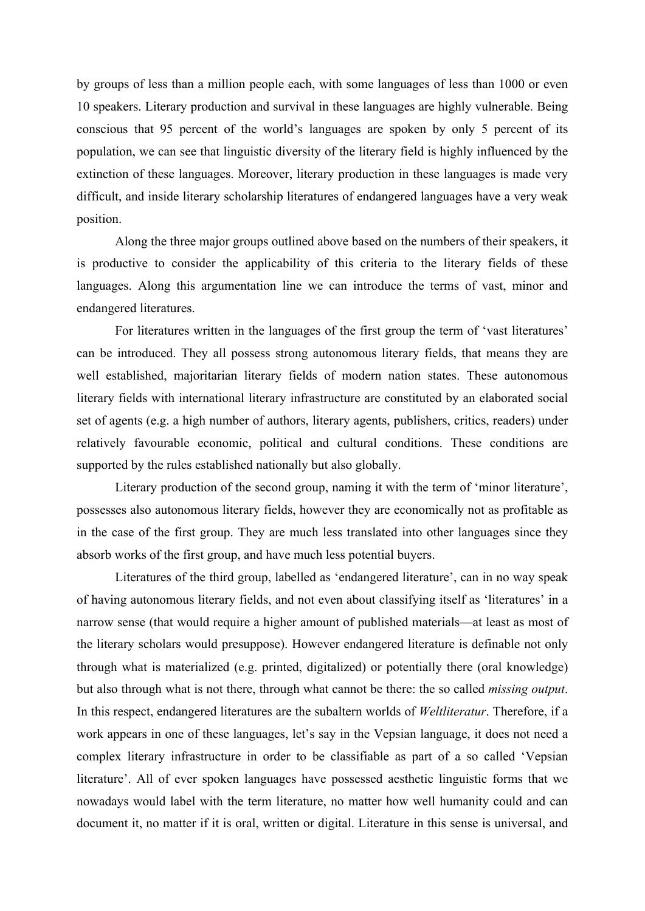by groups of less than a million people each, with some languages of less than 1000 or even 10 speakers. Literary production and survival in these languages are highly vulnerable. Being conscious that 95 percent of the world's languages are spoken by only 5 percent of its population, we can see that linguistic diversity of the literary field is highly influenced by the extinction of these languages. Moreover, literary production in these languages is made very difficult, and inside literary scholarship literatures of endangered languages have a very weak position.

Along the three major groups outlined above based on the numbers of their speakers, it is productive to consider the applicability of this criteria to the literary fields of these languages. Along this argumentation line we can introduce the terms of vast, minor and endangered literatures.

For literatures written in the languages of the first group the term of 'vast literatures' can be introduced. They all possess strong autonomous literary fields, that means they are well established, majoritarian literary fields of modern nation states. These autonomous literary fields with international literary infrastructure are constituted by an elaborated social set of agents (e.g. a high number of authors, literary agents, publishers, critics, readers) under relatively favourable economic, political and cultural conditions. These conditions are supported by the rules established nationally but also globally.

Literary production of the second group, naming it with the term of 'minor literature', possesses also autonomous literary fields, however they are economically not as profitable as in the case of the first group. They are much less translated into other languages since they absorb works of the first group, and have much less potential buyers.

Literatures of the third group, labelled as 'endangered literature', can in no way speak of having autonomous literary fields, and not even about classifying itself as 'literatures' in a narrow sense (that would require a higher amount of published materials—at least as most of the literary scholars would presuppose). However endangered literature is definable not only through what is materialized (e.g. printed, digitalized) or potentially there (oral knowledge) but also through what is not there, through what cannot be there: the so called *missing output*. In this respect, endangered literatures are the subaltern worlds of *Weltliteratur*. Therefore, if a work appears in one of these languages, let's say in the Vepsian language, it does not need a complex literary infrastructure in order to be classifiable as part of a so called 'Vepsian literature'. All of ever spoken languages have possessed aesthetic linguistic forms that we nowadays would label with the term literature, no matter how well humanity could and can document it, no matter if it is oral, written or digital. Literature in this sense is universal, and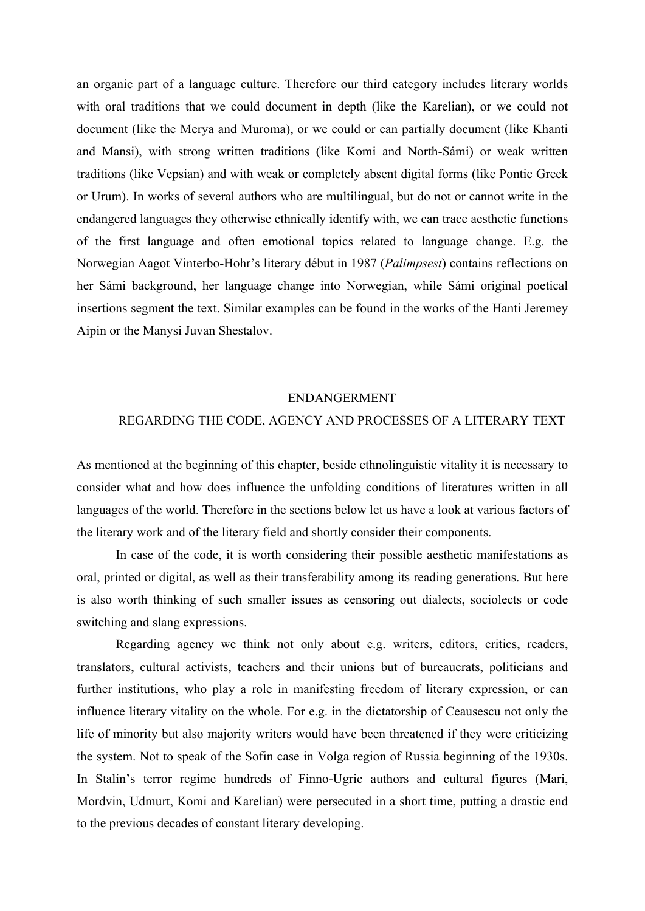an organic part of a language culture. Therefore our third category includes literary worlds with oral traditions that we could document in depth (like the Karelian), or we could not document (like the Merya and Muroma), or we could or can partially document (like Khanti and Mansi), with strong written traditions (like Komi and North-Sámi) or weak written traditions (like Vepsian) and with weak or completely absent digital forms (like Pontic Greek or Urum). In works of several authors who are multilingual, but do not or cannot write in the endangered languages they otherwise ethnically identify with, we can trace aesthetic functions of the first language and often emotional topics related to language change. E.g. the Norwegian Aagot Vinterbo-Hohr's literary début in 1987 (*Palimpsest*) contains reflections on her Sámi background, her language change into Norwegian, while Sámi original poetical insertions segment the text. Similar examples can be found in the works of the Hanti Jeremey Aipin or the Manysi Juvan Shestalov.

#### ENDANGERMENT

## REGARDING THE CODE, AGENCY AND PROCESSES OF A LITERARY TEXT

As mentioned at the beginning of this chapter, beside ethnolinguistic vitality it is necessary to consider what and how does influence the unfolding conditions of literatures written in all languages of the world. Therefore in the sections below let us have a look at various factors of the literary work and of the literary field and shortly consider their components.

In case of the code, it is worth considering their possible aesthetic manifestations as oral, printed or digital, as well as their transferability among its reading generations. But here is also worth thinking of such smaller issues as censoring out dialects, sociolects or code switching and slang expressions.

Regarding agency we think not only about e.g. writers, editors, critics, readers, translators, cultural activists, teachers and their unions but of bureaucrats, politicians and further institutions, who play a role in manifesting freedom of literary expression, or can influence literary vitality on the whole. For e.g. in the dictatorship of Ceausescu not only the life of minority but also majority writers would have been threatened if they were criticizing the system. Not to speak of the Sofin case in Volga region of Russia beginning of the 1930s. In Stalin's terror regime hundreds of Finno-Ugric authors and cultural figures (Mari, Mordvin, Udmurt, Komi and Karelian) were persecuted in a short time, putting a drastic end to the previous decades of constant literary developing.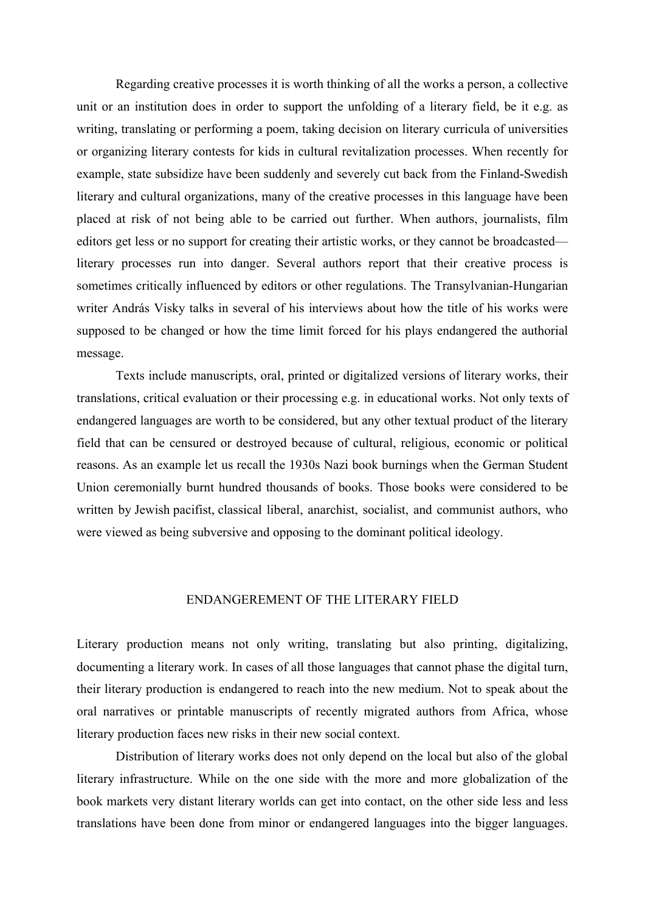Regarding creative processes it is worth thinking of all the works a person, a collective unit or an institution does in order to support the unfolding of a literary field, be it e.g. as writing, translating or performing a poem, taking decision on literary curricula of universities or organizing literary contests for kids in cultural revitalization processes. When recently for example, state subsidize have been suddenly and severely cut back from the Finland-Swedish literary and cultural organizations, many of the creative processes in this language have been placed at risk of not being able to be carried out further. When authors, journalists, film editors get less or no support for creating their artistic works, or they cannot be broadcasted literary processes run into danger. Several authors report that their creative process is sometimes critically influenced by editors or other regulations. The Transylvanian-Hungarian writer András Visky talks in several of his interviews about how the title of his works were supposed to be changed or how the time limit forced for his plays endangered the authorial message.

Texts include manuscripts, oral, printed or digitalized versions of literary works, their translations, critical evaluation or their processing e.g. in educational works. Not only texts of endangered languages are worth to be considered, but any other textual product of the literary field that can be censured or destroyed because of cultural, religious, economic or political reasons. As an example let us recall the 1930s Nazi book burnings when the German Student Union ceremonially burnt hundred thousands of books. Those books were considered to be written by Jewish pacifist, classical liberal, anarchist, socialist, and communist authors, who were viewed as being subversive and opposing to the dominant political ideology.

### ENDANGEREMENT OF THE LITERARY FIELD

Literary production means not only writing, translating but also printing, digitalizing, documenting a literary work. In cases of all those languages that cannot phase the digital turn, their literary production is endangered to reach into the new medium. Not to speak about the oral narratives or printable manuscripts of recently migrated authors from Africa, whose literary production faces new risks in their new social context.

Distribution of literary works does not only depend on the local but also of the global literary infrastructure. While on the one side with the more and more globalization of the book markets very distant literary worlds can get into contact, on the other side less and less translations have been done from minor or endangered languages into the bigger languages.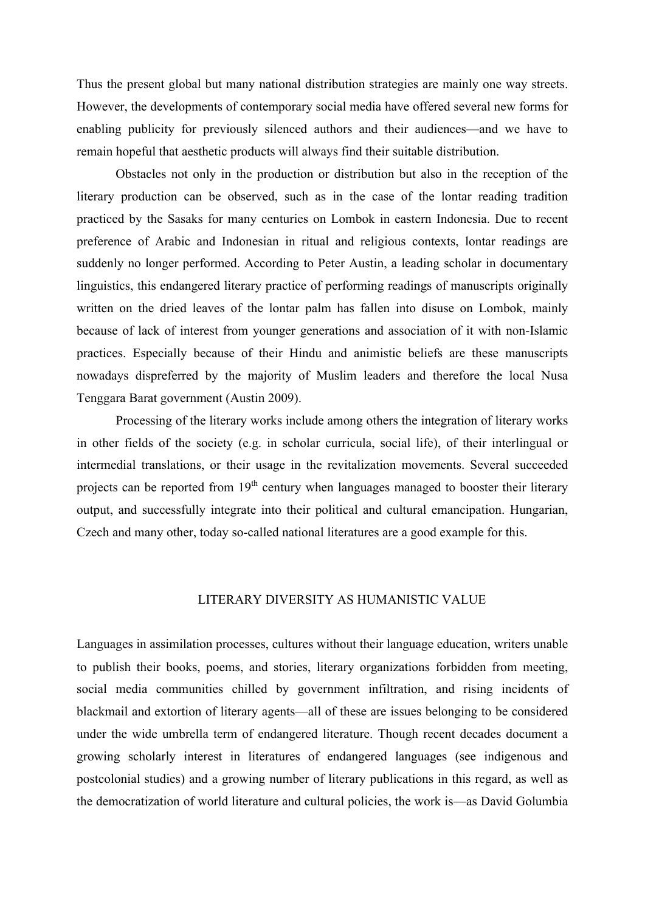Thus the present global but many national distribution strategies are mainly one way streets. However, the developments of contemporary social media have offered several new forms for enabling publicity for previously silenced authors and their audiences—and we have to remain hopeful that aesthetic products will always find their suitable distribution.

Obstacles not only in the production or distribution but also in the reception of the literary production can be observed, such as in the case of the lontar reading tradition practiced by the Sasaks for many centuries on Lombok in eastern Indonesia. Due to recent preference of Arabic and Indonesian in ritual and religious contexts, lontar readings are suddenly no longer performed. According to Peter Austin, a leading scholar in documentary linguistics, this endangered literary practice of performing readings of manuscripts originally written on the dried leaves of the lontar palm has fallen into disuse on Lombok, mainly because of lack of interest from younger generations and association of it with non-Islamic practices. Especially because of their Hindu and animistic beliefs are these manuscripts nowadays dispreferred by the majority of Muslim leaders and therefore the local Nusa Tenggara Barat government (Austin 2009).

Processing of the literary works include among others the integration of literary works in other fields of the society (e.g. in scholar curricula, social life), of their interlingual or intermedial translations, or their usage in the revitalization movements. Several succeeded projects can be reported from  $19<sup>th</sup>$  century when languages managed to booster their literary output, and successfully integrate into their political and cultural emancipation. Hungarian, Czech and many other, today so-called national literatures are a good example for this.

## LITERARY DIVERSITY AS HUMANISTIC VALUE

Languages in assimilation processes, cultures without their language education, writers unable to publish their books, poems, and stories, literary organizations forbidden from meeting, social media communities chilled by government infiltration, and rising incidents of blackmail and extortion of literary agents—all of these are issues belonging to be considered under the wide umbrella term of endangered literature. Though recent decades document a growing scholarly interest in literatures of endangered languages (see indigenous and postcolonial studies) and a growing number of literary publications in this regard, as well as the democratization of world literature and cultural policies, the work is—as David Golumbia